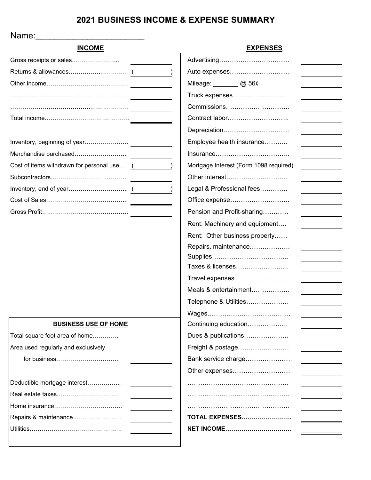# **2021 BUSINESS INCOME & EXPENSE SUMMARY**

Name:

| <b>INCOME</b>                              | <b>EXPENSES</b>                        |
|--------------------------------------------|----------------------------------------|
|                                            |                                        |
|                                            | Auto expenses                          |
|                                            | Mileage: 20 56c                        |
|                                            | Truck expenses                         |
|                                            | Commissions                            |
|                                            | Contract labor                         |
|                                            | Depreciation                           |
|                                            | Employee health insurance              |
| Merchandise purchased                      |                                        |
| Cost of items withdrawn for personal use ( | Mortgage Interest (Form 1098 required) |
|                                            | Other interest                         |
|                                            | Legal & Professional fees              |
|                                            | Office expense                         |
|                                            | Pension and Profit-sharing             |
|                                            | Rent: Machinery and equipment          |
|                                            | Rent: Other business property          |
|                                            | Repairs, maintenance                   |
|                                            |                                        |
|                                            | Taxes & licenses                       |
|                                            | Travel expenses                        |
|                                            | Meals & entertainment                  |
|                                            | Telephone & Utilities                  |
|                                            |                                        |
| <b>BUSINESS USE OF HOME</b>                | Continuing education                   |
| Total square foot area of home             | Dues & publications                    |
| Area used regularly and exclusively        | Freight & postage                      |
|                                            | Bank service charge                    |
|                                            | Other expenses                         |
| Deductible mortgage interest               |                                        |
| Real estate taxes                          |                                        |
|                                            |                                        |
| Repairs & maintenance                      | <b>TOTAL EXPENSES</b>                  |
|                                            | <b>NET INCOME</b>                      |